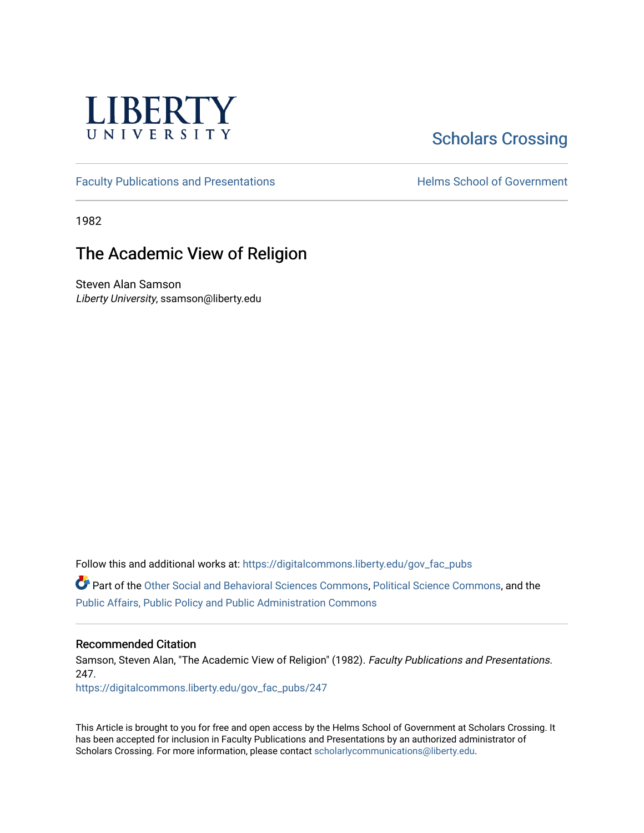

# [Scholars Crossing](https://digitalcommons.liberty.edu/)

[Faculty Publications and Presentations](https://digitalcommons.liberty.edu/gov_fac_pubs) **Exercise School of Government** 

1982

## The Academic View of Religion

Steven Alan Samson Liberty University, ssamson@liberty.edu

Follow this and additional works at: [https://digitalcommons.liberty.edu/gov\\_fac\\_pubs](https://digitalcommons.liberty.edu/gov_fac_pubs?utm_source=digitalcommons.liberty.edu%2Fgov_fac_pubs%2F247&utm_medium=PDF&utm_campaign=PDFCoverPages)

Part of the [Other Social and Behavioral Sciences Commons](http://network.bepress.com/hgg/discipline/437?utm_source=digitalcommons.liberty.edu%2Fgov_fac_pubs%2F247&utm_medium=PDF&utm_campaign=PDFCoverPages), [Political Science Commons](http://network.bepress.com/hgg/discipline/386?utm_source=digitalcommons.liberty.edu%2Fgov_fac_pubs%2F247&utm_medium=PDF&utm_campaign=PDFCoverPages), and the [Public Affairs, Public Policy and Public Administration Commons](http://network.bepress.com/hgg/discipline/393?utm_source=digitalcommons.liberty.edu%2Fgov_fac_pubs%2F247&utm_medium=PDF&utm_campaign=PDFCoverPages)

## Recommended Citation

Samson, Steven Alan, "The Academic View of Religion" (1982). Faculty Publications and Presentations. 247.

[https://digitalcommons.liberty.edu/gov\\_fac\\_pubs/247](https://digitalcommons.liberty.edu/gov_fac_pubs/247?utm_source=digitalcommons.liberty.edu%2Fgov_fac_pubs%2F247&utm_medium=PDF&utm_campaign=PDFCoverPages)

This Article is brought to you for free and open access by the Helms School of Government at Scholars Crossing. It has been accepted for inclusion in Faculty Publications and Presentations by an authorized administrator of Scholars Crossing. For more information, please contact [scholarlycommunications@liberty.edu.](mailto:scholarlycommunications@liberty.edu)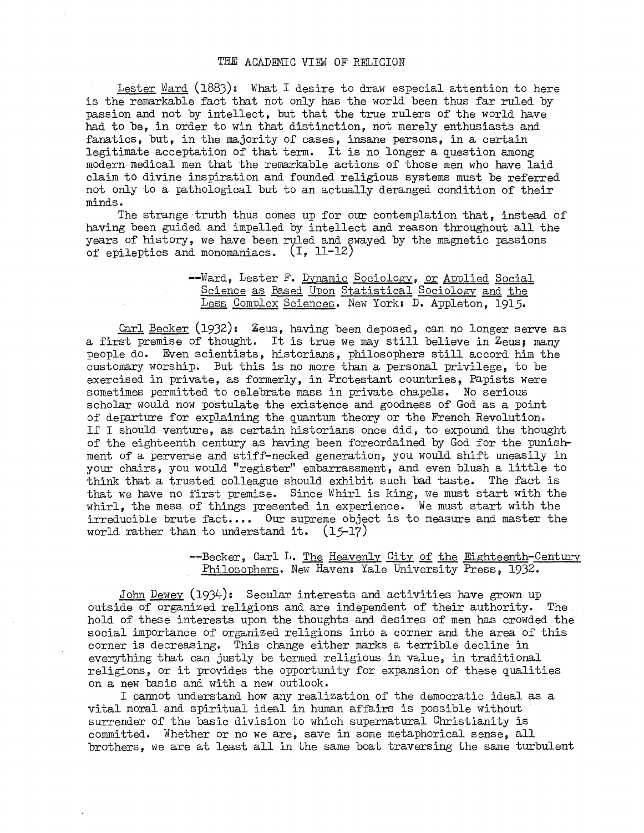Lester Ward (1883): What I desire to draw especial attention to here is the remarkable fact that not only has the world been thus far ruled by passion and not by intellect, but that the true rulers of the world have had to be, in order to win that distinction, not merely enthusiasts and fanatics, but, in the majority of cases, insane persons, in a certain legitimate acceptation of that term. It is no longer a question among modern medical men that the remarkable actions of those men who have laid claim to divine inspiration and founded religious systems must be referred not only to a pathological but to an actually deranged condition of their minds.

The strange truth thus comes up for our contemplation that, instead of having been guided and impelled by intellect and reason throughout all the years of history, we have been ruled and swayed by the magnetic passions of epileptics and monomaniacs. (I, 11-12)

### --Ward, Lester F. Dynamic Sociology, or Applied Social Science as Based Upon Statistical Sociology and the Less Complex Sciences. New York: D. Appleton, 1915.

Carl Becker (1932): Zeus, having been deposed, can no longer serve as a first premise of thought. It is true we may still believe in Zeus; many people do. Even scientists, historians, philosophers still accord him the customary worship. But this is no more than a personal privilege, to be exercised in private, as formerly, in Protestant countries, Papists were sometimes permitted to celebrate mass in private chapels. No serious scholar would now postulate the existence and goodness of God as a point of departure for explaining the quantum theory or the French Revolution. If I should venture, as certain historians once did, to expound the thought of the eighteenth century as having been foreordained by God for the punishment of a perverse and stiff-necked generation, you would shift uneasily in your chairs, you would "register" embarrassment, and even blush a little to think that a trusted colleague should exhibit such bad taste. The fact is that we have no first premise. Since Whirl is king, we must start with the whirl, the mess of things presented in experience. We must start with the irreducible brute fact.... Our supreme object is to measure and master the world rather than to understand it.  $(15-17)$ 

#### --Becker, Carl L. The Heavenly City of the Eighteenth-Century Philosophers. New Haven: Yale University Press, 1932.

John Dewey (1934): Secular interests and activities have grown up outside of organized religions and are independent of their authority. The hold of these interests upon the thoughts and desires of men has crowded the social importance of organized religions into a corner and the area of this corner is decreasing. This change either marks a terrible decline in everything that can justly be termed religious in value, in traditional religions, or it provides the opportunity for expansion of these qualities on a new basis and with a new outlook.

I cannot understand how any realization of the democratic ideal as a vital moral and spiritual ideal in human affairs is possible without surrender of the basic division to which supernatural Christianity is committed. Whether or no we are, save in some metaphorical sense, all brothers, we are at least all in the same boat traversing the same turbulent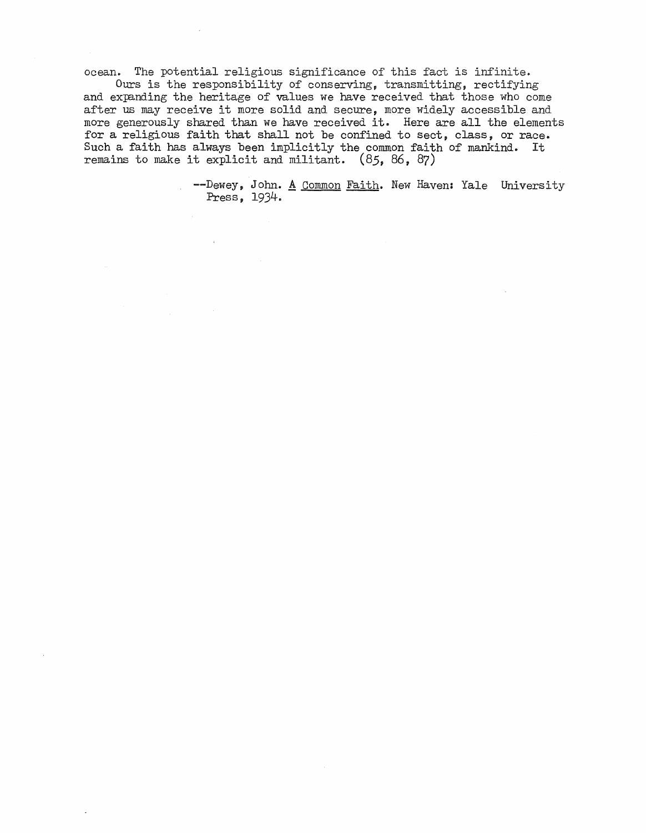ocean. The potential religious significance of this fact is infinite.

Ours is the responsibility of conserving, transmitting, rectifying and expanding the heritage of values we have received that those who come after us may receive it more solid and secure, more widely accessible and more generously shared than we have received it. Here are all the elements for a religious faith that shall not be confined to sect, class, or race. Such a faith has always been implicitly the common faith of mankind. It remains to make it explicit and militant. (85, 86, 87)

> --Dewey, John. <u>A Common Faith</u>. New Haven: Yale University Press, 1934.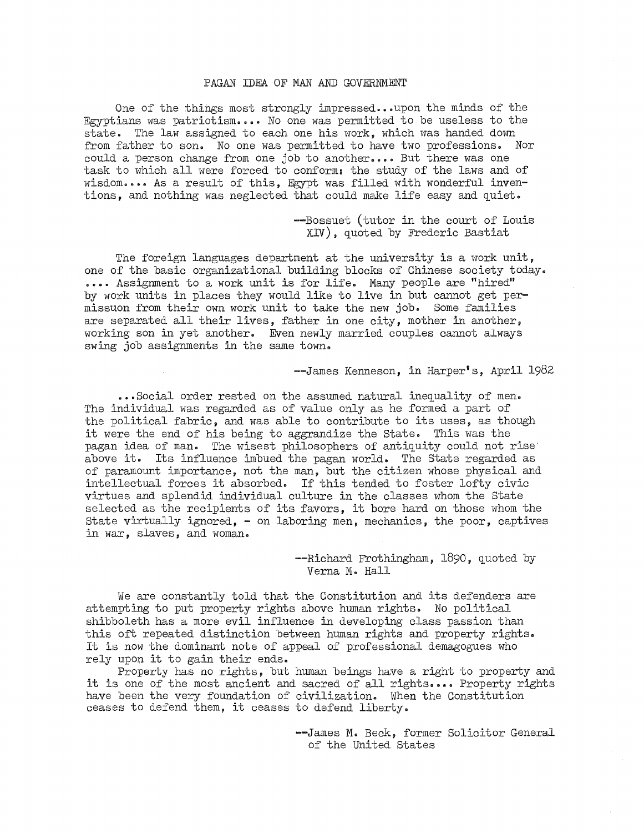#### PAGAN IDEA OF MAN AND GOVERNMENT

One of the things most strongly impressed...upon the minds of the Egyptians was patriotism •••• No one was permitted to be useless to the state. The law assigned to each one his work, which was handed down from father to son. No one was permitted to have two professions. Nor could a person change from one job to another.... But there was one task to which all were forced to conform: the study of the laws and of wisdom •••• As a result of this, Egypt was filled with wonderful inventions, and nothing was neglected that could make life easy and quiet.

> --Bossuet (tutor in the court of Louis XIV), quoted by Frederic Bastiat

The foreign languages department at the university is a work unit, one of the basic organizational building blocks of Chinese society today • .... Assignment to a work unit is for life. Many people are "hired" by work units in places they would like to live in but cannot get permissuon from their own work unit to take the new job. Some families are separated all their lives, father in one city, mother in another, working son in yet another. Even newly married couples cannot always swing job assignments in the same town.

--James Kenneson, in Harper's, April 1982

••• Social order rested on the assumed natural inequality of men. The individual was regarded as of value only as he formed a part of the political fabric, and was able to contribute to its uses, as though it were the end of his being to aggrandize the State. This was the pagan idea of man. The wisest philosophers of antiquity could not rise above it. Its influence imbued the pagan world. The State regarded as of paramount importance, not the man, but the citizen whose physical and intellectual forces it absorbed. If this tended to foster lofty civic virtues and splendid individual culture in the classes whom the State selected as the recipients of its favors, it bore hard on those whom the State virtually ignored, - on laboring men, mechanics, the poor, captives in war, slaves, and woman.

> --Richard Frothingham, 1890, quoted by Verna M. Hall

We are constantly told that the Constitution and its defenders are attempting to put property rights above human rights. No political shibboleth has a more evil influence in developing class passion than this oft repeated distinction between human rights and property rights. It is now the dominant note of appeal of professional demagogues who rely upon it to gain their ends.

Property has no rights, but human beings have a right to property and it is one of the most ancient and sacred of all rights •••• Property rights have been the very foundation of civilization. When the Constitution ceases to defend them, it ceases to defend liberty.

> --James M. Beck, former Solicitor General of the United States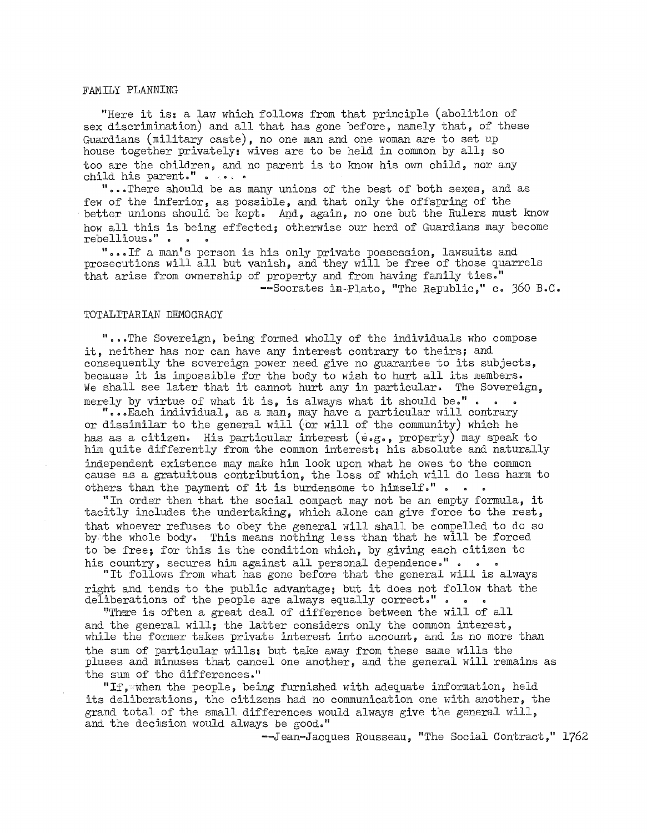#### FAMILY PLANNING

"Here it is: a law which follows from that principle (abolition of sex discrimination) and all that has gone before, namely that, of these Guardians (military caste), no one man and one woman are to set up house together privately: wives are to be held in common by all; so too are the children, and no parent is to know his own child, nor any child his parent." . . . .

" ••• There should be as many unions of the best of both sexes, and as few of the inferior, as possible, and that only the offspring of the better unions should be kept. And, again, no one but the Rulers must know how all this is being effected; otherwise our herd of Guardians may become rebellious." •

" ••• If a man's person is his only private possession, lawsuits and prosecutions will all but vanish, and they will be free of those quarrels that arise from ownership of property and from having family ties." --Socrates in-Plato, "The Republic," c. 360 B.C.

#### TOTALITARIAN DEMOCRACY

" ••• The Sovereign, being formed wholly of the individuals who compose it, neither has nor can have any interest contrary to theirs; and consequently the sovereign power need give no guarantee to its subjects, because it is impossible for the body to wish to hurt all its members. We shall see later that it cannot hurt any in particular. The Sovereign, merely by virtue of what it is, is always what it should be." . . .

" ••• Each individual, as a man, may have a particular will contrary or dissimilar to the general will (or will of the community) which he has as a citizen. His particular interest  $(e.g., property)$  may speak to him quite differently from the common interest: his absolute and naturally independent existence may make him look upon what he owes to the common cause as a gratuitous contribution, the loss of which will do less harm to others than the payment of it is burdensome to himself." •

"In order then that the social compact may not be an empty formula, it tacitly includes the undertaking, which alone can give force to the rest, that whoever refuses to obey the general will shall be compelled to do so by the whole body. This means nothing less than that he will be forced to be free; for this is the condition which, by giving each citizen to his country, secures him against all personal dependence.". .

"It follows from what has gone before that the general will is always right and tends to the public advantage; but it does not follow that the deliberations of the people are always equally correct."  $\cdot \cdot \cdot$ 

"There is often a great deal of difference between the will of all and the general will; the latter considers only the common interest, while the former takes private interest into account, and is no more than the sum of particular wills: but take away from these same wills the pluses and minuses that cancel one another, and the general will remains as the sum of the differences."

"If, when the people, being furnished with adequate information, held its deliberations, the citizens had no communication one with another, the grand total of the small differences would always give the general will, and the decision would always be good."

--Jean-Jacques Rousseau, "The Social Contract," 1762